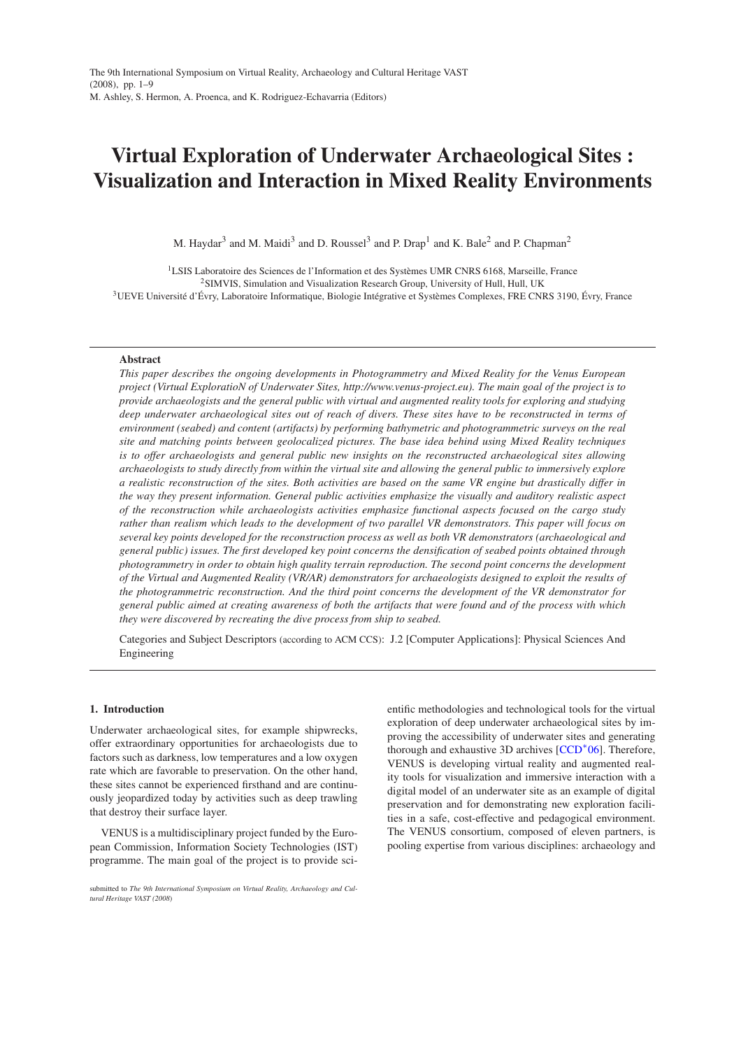# **Virtual Exploration of Underwater Archaeological Sites : Visualization and Interaction in Mixed Reality Environments**

M. Haydar $^3$  and M. Maidi $^3$  and D. Roussel $^3$  and P. Drap $^1$  and K. Bale $^2$  and P. Chapman $^2$ 

<sup>1</sup>LSIS Laboratoire des Sciences de l'Information et des Systèmes UMR CNRS 6168, Marseille, France <sup>2</sup>SIMVIS, Simulation and Visualization Research Group, University of Hull, Hull, UK <sup>3</sup>UEVE Université d'Évry, Laboratoire Informatique, Biologie Intégrative et Systèmes Complexes, FRE CNRS 3190, Évry, France

# **Abstract**

*This paper describes the ongoing developments in Photogrammetry and Mixed Reality for the Venus European project (Virtual ExploratioN of Underwater Sites, http://www.venus-project.eu). The main goal of the project is to provide archaeologists and the general public with virtual and augmented reality tools for exploring and studying deep underwater archaeological sites out of reach of divers. These sites have to be reconstructed in terms of environment (seabed) and content (artifacts) by performing bathymetric and photogrammetric surveys on the real site and matching points between geolocalized pictures. The base idea behind using Mixed Reality techniques is to offer archaeologists and general public new insights on the reconstructed archaeological sites allowing archaeologists to study directly from within the virtual site and allowing the general public to immersively explore a realistic reconstruction of the sites. Both activities are based on the same VR engine but drastically differ in the way they present information. General public activities emphasize the visually and auditory realistic aspect of the reconstruction while archaeologists activities emphasize functional aspects focused on the cargo study rather than realism which leads to the development of two parallel VR demonstrators. This paper will focus on several key points developed for the reconstruction process as well as both VR demonstrators (archaeological and general public) issues. The first developed key point concerns the densification of seabed points obtained through photogrammetry in order to obtain high quality terrain reproduction. The second point concerns the development of the Virtual and Augmented Reality (VR/AR) demonstrators for archaeologists designed to exploit the results of the photogrammetric reconstruction. And the third point concerns the development of the VR demonstrator for general public aimed at creating awareness of both the artifacts that were found and of the process with which they were discovered by recreating the dive process from ship to seabed.*

Categories and Subject Descriptors (according to ACM CCS): J.2 [Computer Applications]: Physical Sciences And Engineering

# **1. Introduction**

Underwater archaeological sites, for example shipwrecks, offer extraordinary opportunities for archaeologists due to factors such as darkness, low temperatures and a low oxygen rate which are favorable to preservation. On the other hand, these sites cannot be experienced firsthand and are continuously jeopardized today by activities such as deep trawling that destroy their surface layer.

VENUS is a multidisciplinary project funded by the European Commission, Information Society Technologies (IST) programme. The main goal of the project is to provide scientific methodologies and technological tools for the virtual exploration of deep underwater archaeological sites by improving the accessibility of underwater sites and generating thorough and exhaustive 3D archives [\[CCD](#page-7-0)<sup>\*</sup>06]. Therefore, VENUS is developing virtual reality and augmented reality tools for visualization and immersive interaction with a digital model of an underwater site as an example of digital preservation and for demonstrating new exploration facilities in a safe, cost-effective and pedagogical environment. The VENUS consortium, composed of eleven partners, is pooling expertise from various disciplines: archaeology and

submitted to *The 9th International Symposium on Virtual Reality, Archaeology and Cultural Heritage VAST (2008*)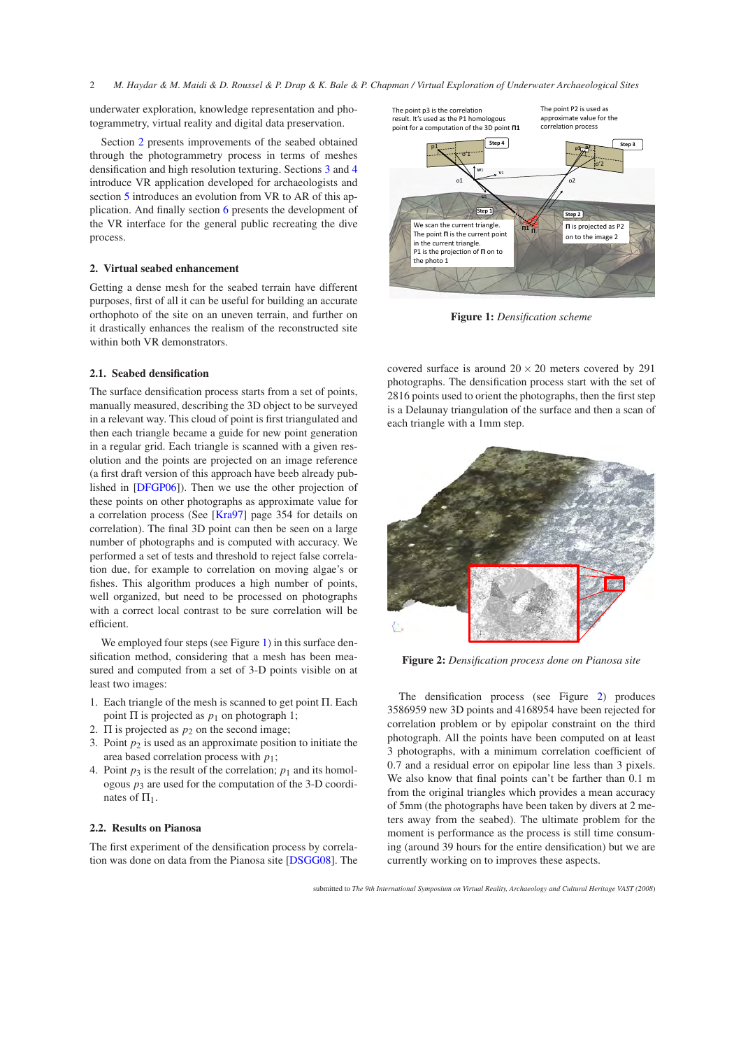underwater exploration, knowledge representation and photogrammetry, virtual reality and digital data preservation.

Section [2](#page-1-0) presents improvements of the seabed obtained through the photogrammetry process in terms of meshes densification and high resolution texturing. Sections [3](#page-3-0) and [4](#page-3-1) introduce VR application developed for archaeologists and section [5](#page-4-0) introduces an evolution from VR to AR of this application. And finally section [6](#page-5-0) presents the development of the VR interface for the general public recreating the dive process.

# <span id="page-1-0"></span>**2. Virtual seabed enhancement**

Getting a dense mesh for the seabed terrain have different purposes, first of all it can be useful for building an accurate orthophoto of the site on an uneven terrain, and further on it drastically enhances the realism of the reconstructed site within both VR demonstrators.

# **2.1. Seabed densification**

The surface densification process starts from a set of points, manually measured, describing the 3D object to be surveyed in a relevant way. This cloud of point is first triangulated and then each triangle became a guide for new point generation in a regular grid. Each triangle is scanned with a given resolution and the points are projected on an image reference (a first draft version of this approach have beeb already published in [\[DFGP06\]](#page-7-1)). Then we use the other projection of these points on other photographs as approximate value for a correlation process (See [\[Kra97\]](#page-7-2) page 354 for details on correlation). The final 3D point can then be seen on a large number of photographs and is computed with accuracy. We performed a set of tests and threshold to reject false correlation due, for example to correlation on moving algae's or fishes. This algorithm produces a high number of points, well organized, but need to be processed on photographs with a correct local contrast to be sure correlation will be efficient.

We employed four steps (see Figure [1\)](#page-1-1) in this surface densification method, considering that a mesh has been measured and computed from a set of 3-D points visible on at least two images:

- 1. Each triangle of the mesh is scanned to get point Π. Each point  $\Pi$  is projected as  $p_1$  on photograph 1;
- 2.  $\Pi$  is projected as  $p_2$  on the second image;
- 3. Point  $p_2$  is used as an approximate position to initiate the area based correlation process with *p*1;
- 4. Point  $p_3$  is the result of the correlation;  $p_1$  and its homologous  $p_3$  are used for the computation of the 3-D coordinates of  $\Pi_1$ .

# **2.2. Results on Pianosa**

The first experiment of the densification process by correlation was done on data from the Pianosa site [\[DSGG08\]](#page-7-3). The



<span id="page-1-1"></span>**Figure 1:** *Densification scheme*

covered surface is around  $20 \times 20$  meters covered by 291 photographs. The densification process start with the set of 2816 points used to orient the photographs, then the first step is a Delaunay triangulation of the surface and then a scan of each triangle with a 1mm step.



**Figure 2:** *Densification process done on Pianosa site*

<span id="page-1-2"></span>The densification process (see Figure [2\)](#page-1-2) produces 3586959 new 3D points and 4168954 have been rejected for correlation problem or by epipolar constraint on the third photograph. All the points have been computed on at least 3 photographs, with a minimum correlation coefficient of <sup>0</sup>.7 and a residual error on epipolar line less than 3 pixels. We also know that final points can't be farther than 0.1 m from the original triangles which provides a mean accuracy of 5mm (the photographs have been taken by divers at 2 meters away from the seabed). The ultimate problem for the moment is performance as the process is still time consuming (around 39 hours for the entire densification) but we are currently working on to improves these aspects.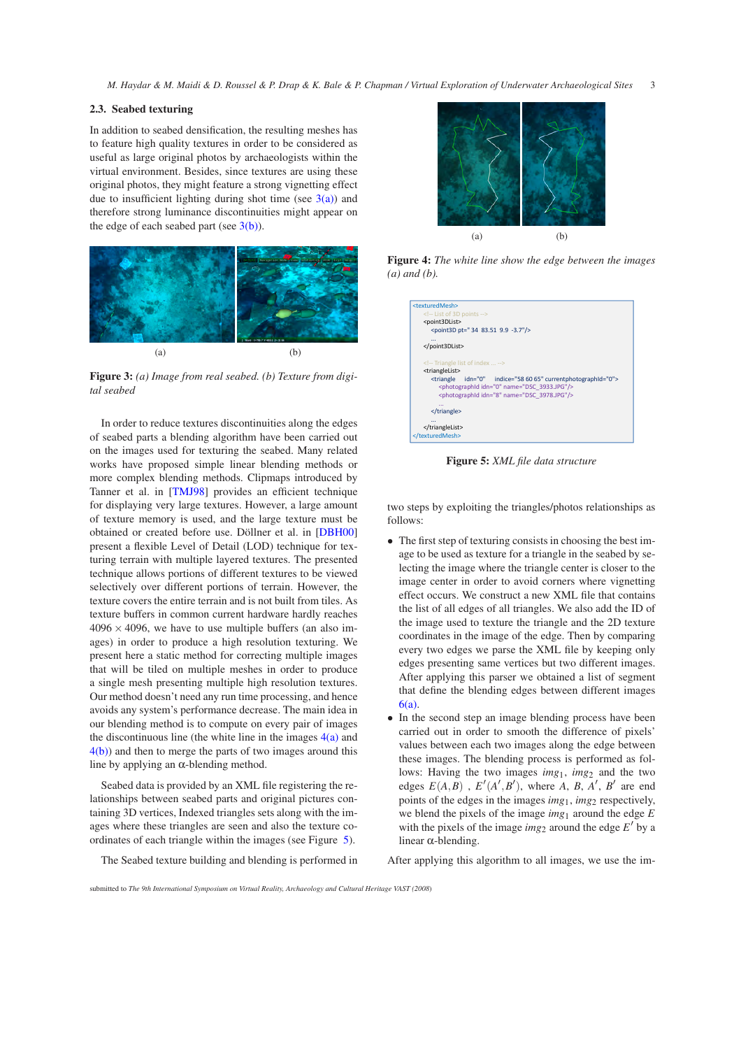# **2.3. Seabed texturing**

In addition to seabed densification, the resulting meshes has to feature high quality textures in order to be considered as useful as large original photos by archaeologists within the virtual environment. Besides, since textures are using these original photos, they might feature a strong vignetting effect due to insufficient lighting during shot time (see  $3(a)$ ) and therefore strong luminance discontinuities might appear on the edge of each seabed part (see  $3(b)$ ).

<span id="page-2-0"></span>

<span id="page-2-1"></span>**Figure 3:** *(a) Image from real seabed. (b) Texture from digital seabed*

In order to reduce textures discontinuities along the edges of seabed parts a blending algorithm have been carried out on the images used for texturing the seabed. Many related works have proposed simple linear blending methods or more complex blending methods. Clipmaps introduced by Tanner et al. in [\[TMJ98\]](#page-7-4) provides an efficient technique for displaying very large textures. However, a large amount of texture memory is used, and the large texture must be obtained or created before use. Döllner et al. in [\[DBH00\]](#page-7-5) present a flexible Level of Detail (LOD) technique for texturing terrain with multiple layered textures. The presented technique allows portions of different textures to be viewed selectively over different portions of terrain. However, the texture covers the entire terrain and is not built from tiles. As texture buffers in common current hardware hardly reaches  $4096 \times 4096$ , we have to use multiple buffers (an also images) in order to produce a high resolution texturing. We present here a static method for correcting multiple images that will be tiled on multiple meshes in order to produce a single mesh presenting multiple high resolution textures. Our method doesn't need any run time processing, and hence avoids any system's performance decrease. The main idea in our blending method is to compute on every pair of images the discontinuous line (the white line in the images  $4(a)$  and [4\(b\)\)](#page-2-3) and then to merge the parts of two images around this line by applying an  $α$ -blending method.

Seabed data is provided by an XML file registering the relationships between seabed parts and original pictures containing 3D vertices, Indexed triangles sets along with the images where these triangles are seen and also the texture coordinates of each triangle within the images (see Figure [5\)](#page-2-4).

The Seabed texture building and blending is performed in

<span id="page-2-2"></span>

**Figure 4:** *The white line show the edge between the images (a) and (b).*

<span id="page-2-3"></span>

**Figure 5:** *XML file data structure*

<span id="page-2-4"></span>two steps by exploiting the triangles/photos relationships as follows:

- The first step of texturing consists in choosing the best image to be used as texture for a triangle in the seabed by selecting the image where the triangle center is closer to the image center in order to avoid corners where vignetting effect occurs. We construct a new XML file that contains the list of all edges of all triangles. We also add the ID of the image used to texture the triangle and the 2D texture coordinates in the image of the edge. Then by comparing every two edges we parse the XML file by keeping only edges presenting same vertices but two different images. After applying this parser we obtained a list of segment that define the blending edges between different images [6\(a\).](#page-3-2)
- In the second step an image blending process have been carried out in order to smooth the difference of pixels' values between each two images along the edge between these images. The blending process is performed as follows: Having the two images *img*<sub>1</sub>, *img*<sub>2</sub> and the two edges  $E(A, B)$ ,  $E'(A', B')$ , where *A*, *B*, *A'*, *B'* are end points of the edges in the images *img*<sub>1</sub>, *img*<sub>2</sub> respectively, we blend the pixels of the image *img*<sup>1</sup> around the edge *E* with the pixels of the image  $img_2$  around the edge  $E'$  by a linear α-blending.

After applying this algorithm to all images, we use the im-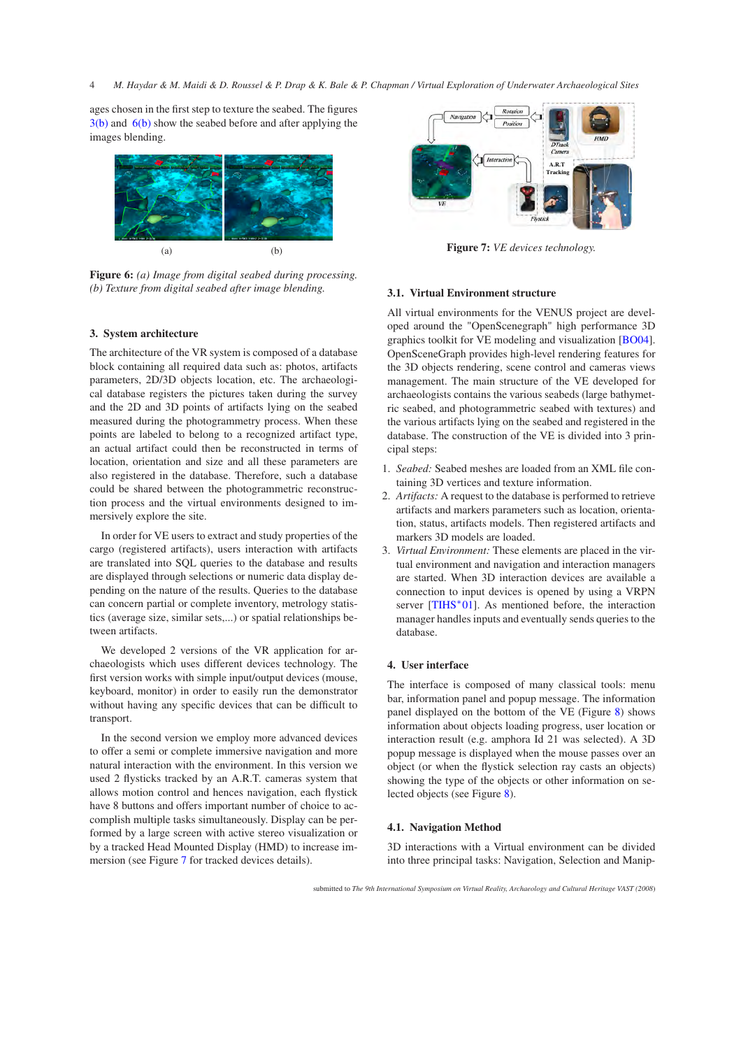ages chosen in the first step to texture the seabed. The figures [3\(b\)](#page-2-1) and [6\(b\)](#page-3-3) show the seabed before and after applying the images blending.

<span id="page-3-2"></span>

<span id="page-3-3"></span>**Figure 6:** *(a) Image from digital seabed during processing. (b) Texture from digital seabed after image blending.*

# <span id="page-3-0"></span>**3. System architecture**

The architecture of the VR system is composed of a database block containing all required data such as: photos, artifacts parameters, 2D/3D objects location, etc. The archaeological database registers the pictures taken during the survey and the 2D and 3D points of artifacts lying on the seabed measured during the photogrammetry process. When these points are labeled to belong to a recognized artifact type, an actual artifact could then be reconstructed in terms of location, orientation and size and all these parameters are also registered in the database. Therefore, such a database could be shared between the photogrammetric reconstruction process and the virtual environments designed to immersively explore the site.

In order for VE users to extract and study properties of the cargo (registered artifacts), users interaction with artifacts are translated into SQL queries to the database and results are displayed through selections or numeric data display depending on the nature of the results. Queries to the database can concern partial or complete inventory, metrology statistics (average size, similar sets,...) or spatial relationships between artifacts.

We developed 2 versions of the VR application for archaeologists which uses different devices technology. The first version works with simple input/output devices (mouse, keyboard, monitor) in order to easily run the demonstrator without having any specific devices that can be difficult to transport.

In the second version we employ more advanced devices to offer a semi or complete immersive navigation and more natural interaction with the environment. In this version we used 2 flysticks tracked by an A.R.T. cameras system that allows motion control and hences navigation, each flystick have 8 buttons and offers important number of choice to accomplish multiple tasks simultaneously. Display can be performed by a large screen with active stereo visualization or by a tracked Head Mounted Display (HMD) to increase immersion (see Figure [7](#page-3-4) for tracked devices details).



**Figure 7:** *VE devices technology.*

# <span id="page-3-4"></span>**3.1. Virtual Environment structure**

All virtual environments for the VENUS project are developed around the "OpenScenegraph" high performance 3D graphics toolkit for VE modeling and visualization [\[BO04\]](#page-7-6). OpenSceneGraph provides high-level rendering features for the 3D objects rendering, scene control and cameras views management. The main structure of the VE developed for archaeologists contains the various seabeds (large bathymetric seabed, and photogrammetric seabed with textures) and the various artifacts lying on the seabed and registered in the database. The construction of the VE is divided into 3 principal steps:

- 1. *Seabed:* Seabed meshes are loaded from an XML file containing 3D vertices and texture information.
- 2. *Artifacts:* A request to the database is performed to retrieve artifacts and markers parameters such as location, orientation, status, artifacts models. Then registered artifacts and markers 3D models are loaded.
- 3. *Virtual Environment:* These elements are placed in the virtual environment and navigation and interaction managers are started. When 3D interaction devices are available a connection to input devices is opened by using a VRPN server [\[TIHS](#page-7-7)<sup>\*01]</sup>. As mentioned before, the interaction manager handles inputs and eventually sends queries to the database.

# <span id="page-3-1"></span>**4. User interface**

The interface is composed of many classical tools: menu bar, information panel and popup message. The information panel displayed on the bottom of the VE (Figure [8\)](#page-4-1) shows information about objects loading progress, user location or interaction result (e.g. amphora Id 21 was selected). A 3D popup message is displayed when the mouse passes over an object (or when the flystick selection ray casts an objects) showing the type of the objects or other information on selected objects (see Figure [8\)](#page-4-1).

#### **4.1. Navigation Method**

3D interactions with a Virtual environment can be divided into three principal tasks: Navigation, Selection and Manip-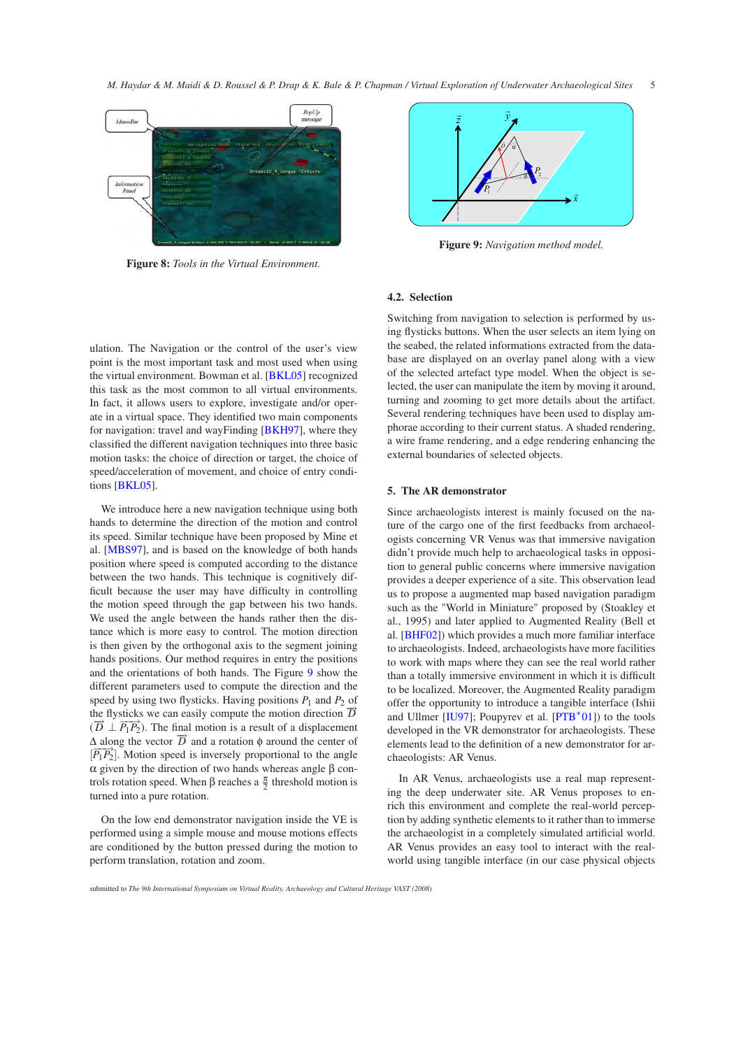![](_page_4_Figure_1.jpeg)

<span id="page-4-1"></span>**Figure 8:** *Tools in the Virtual Environment.*

![](_page_4_Figure_3.jpeg)

<span id="page-4-2"></span>**Figure 9:** *Navigation method model.*

# **4.2. Selection**

ulation. The Navigation or the control of the user's view point is the most important task and most used when using the virtual environment. Bowman et al. [\[BKL05\]](#page-7-8) recognized this task as the most common to all virtual environments. In fact, it allows users to explore, investigate and/or operate in a virtual space. They identified two main components for navigation: travel and wayFinding [\[BKH97\]](#page-7-9), where they classified the different navigation techniques into three basic motion tasks: the choice of direction or target, the choice of speed/acceleration of movement, and choice of entry conditions [\[BKL05\]](#page-7-8).

We introduce here a new navigation technique using both hands to determine the direction of the motion and control its speed. Similar technique have been proposed by Mine et al. [\[MBS97\]](#page-7-10), and is based on the knowledge of both hands position where speed is computed according to the distance between the two hands. This technique is cognitively difficult because the user may have difficulty in controlling the motion speed through the gap between his two hands. We used the angle between the hands rather then the distance which is more easy to control. The motion direction is then given by the orthogonal axis to the segment joining hands positions. Our method requires in entry the positions and the orientations of both hands. The Figure [9](#page-4-2) show the different parameters used to compute the direction and the speed by using two flysticks. Having positions  $P_1$  and  $P_2$  of the flysticks we can easily compute the motion direction  $\overrightarrow{D}$  $(\vec{D} \perp \overline{P_1 P_2})$ . The final motion is a result of a displacement  $\Delta$  along the vector  $\overrightarrow{D}$  and a rotation  $\phi$  around the center of  $\overline{P_1P_2}$ . Motion speed is inversely proportional to the angle α given by the direction of two hands whereas angle β controls rotation speed. When β reaches a  $\frac{\pi}{2}$  threshold motion is turned into a pure rotation.

On the low end demonstrator navigation inside the VE is performed using a simple mouse and mouse motions effects are conditioned by the button pressed during the motion to perform translation, rotation and zoom.

Switching from navigation to selection is performed by using flysticks buttons. When the user selects an item lying on the seabed, the related informations extracted from the database are displayed on an overlay panel along with a view of the selected artefact type model. When the object is selected, the user can manipulate the item by moving it around, turning and zooming to get more details about the artifact. Several rendering techniques have been used to display amphorae according to their current status. A shaded rendering, a wire frame rendering, and a edge rendering enhancing the external boundaries of selected objects.

# <span id="page-4-0"></span>**5. The AR demonstrator**

Since archaeologists interest is mainly focused on the nature of the cargo one of the first feedbacks from archaeologists concerning VR Venus was that immersive navigation didn't provide much help to archaeological tasks in opposition to general public concerns where immersive navigation provides a deeper experience of a site. This observation lead us to propose a augmented map based navigation paradigm such as the "World in Miniature" proposed by (Stoakley et al., 1995) and later applied to Augmented Reality (Bell et al. [\[BHF02\]](#page-7-11)) which provides a much more familiar interface to archaeologists. Indeed, archaeologists have more facilities to work with maps where they can see the real world rather than a totally immersive environment in which it is difficult to be localized. Moreover, the Augmented Reality paradigm offer the opportunity to introduce a tangible interface (Ishii and Ullmer  $[IU97]$ ; Poupyrev et al.  $[PTB^*01]$ ) to the tools developed in the VR demonstrator for archaeologists. These elements lead to the definition of a new demonstrator for archaeologists: AR Venus.

In AR Venus, archaeologists use a real map representing the deep underwater site. AR Venus proposes to enrich this environment and complete the real-world perception by adding synthetic elements to it rather than to immerse the archaeologist in a completely simulated artificial world. AR Venus provides an easy tool to interact with the realworld using tangible interface (in our case physical objects

submitted to *The 9th International Symposium on Virtual Reality, Archaeology and Cultural Heritage VAST (2008*)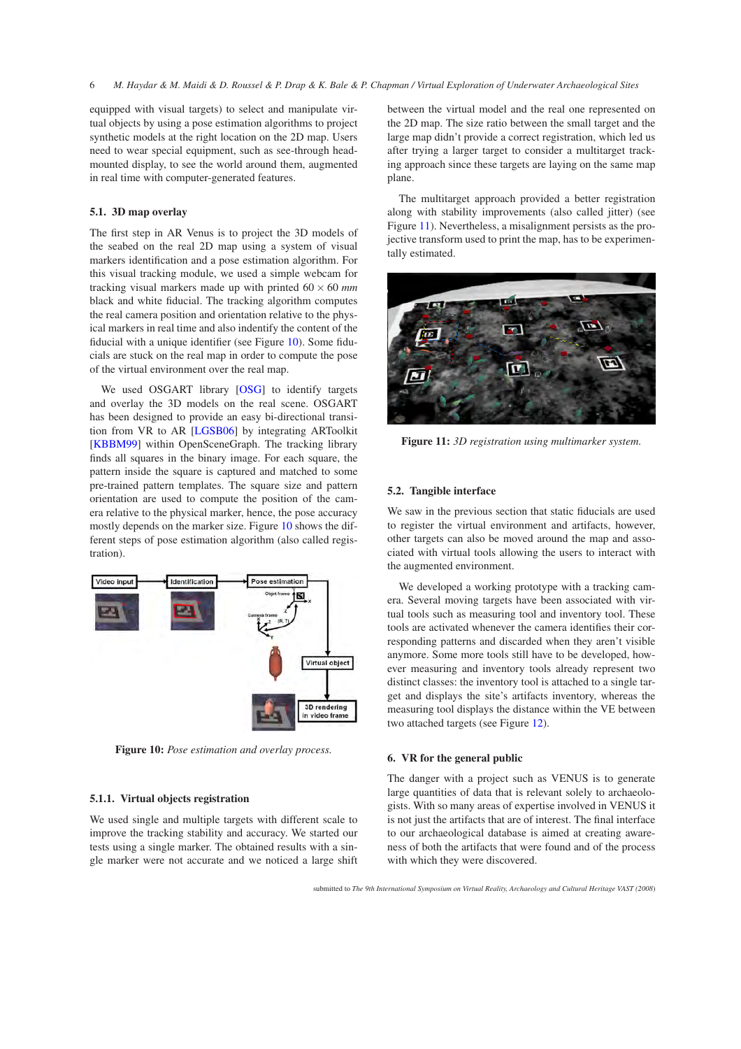equipped with visual targets) to select and manipulate virtual objects by using a pose estimation algorithms to project synthetic models at the right location on the 2D map. Users need to wear special equipment, such as see-through headmounted display, to see the world around them, augmented in real time with computer-generated features.

# **5.1. 3D map overlay**

The first step in AR Venus is to project the 3D models of the seabed on the real 2D map using a system of visual markers identification and a pose estimation algorithm. For this visual tracking module, we used a simple webcam for tracking visual markers made up with printed  $60 \times 60$  *mm* black and white fiducial. The tracking algorithm computes the real camera position and orientation relative to the physical markers in real time and also indentify the content of the fiducial with a unique identifier (see Figure [10\)](#page-5-1). Some fiducials are stuck on the real map in order to compute the pose of the virtual environment over the real map.

We used OSGART library [\[OSG\]](#page-7-14) to identify targets and overlay the 3D models on the real scene. OSGART has been designed to provide an easy bi-directional transition from VR to AR [\[LGSB06\]](#page-7-15) by integrating ARToolkit [\[KBBM99\]](#page-7-16) within OpenSceneGraph. The tracking library finds all squares in the binary image. For each square, the pattern inside the square is captured and matched to some pre-trained pattern templates. The square size and pattern orientation are used to compute the position of the camera relative to the physical marker, hence, the pose accuracy mostly depends on the marker size. Figure [10](#page-5-1) shows the different steps of pose estimation algorithm (also called registration).

![](_page_5_Figure_5.jpeg)

<span id="page-5-1"></span>**Figure 10:** *Pose estimation and overlay process.*

# **5.1.1. Virtual objects registration**

We used single and multiple targets with different scale to improve the tracking stability and accuracy. We started our tests using a single marker. The obtained results with a single marker were not accurate and we noticed a large shift between the virtual model and the real one represented on the 2D map. The size ratio between the small target and the large map didn't provide a correct registration, which led us after trying a larger target to consider a multitarget tracking approach since these targets are laying on the same map plane.

The multitarget approach provided a better registration along with stability improvements (also called jitter) (see Figure [11\)](#page-5-2). Nevertheless, a misalignment persists as the projective transform used to print the map, has to be experimentally estimated.

![](_page_5_Picture_11.jpeg)

**Figure 11:** *3D registration using multimarker system.*

#### <span id="page-5-2"></span>**5.2. Tangible interface**

We saw in the previous section that static fiducials are used to register the virtual environment and artifacts, however, other targets can also be moved around the map and associated with virtual tools allowing the users to interact with the augmented environment.

We developed a working prototype with a tracking camera. Several moving targets have been associated with virtual tools such as measuring tool and inventory tool. These tools are activated whenever the camera identifies their corresponding patterns and discarded when they aren't visible anymore. Some more tools still have to be developed, however measuring and inventory tools already represent two distinct classes: the inventory tool is attached to a single target and displays the site's artifacts inventory, whereas the measuring tool displays the distance within the VE between two attached targets (see Figure [12\)](#page-6-0).

#### <span id="page-5-0"></span>**6. VR for the general public**

The danger with a project such as VENUS is to generate large quantities of data that is relevant solely to archaeologists. With so many areas of expertise involved in VENUS it is not just the artifacts that are of interest. The final interface to our archaeological database is aimed at creating awareness of both the artifacts that were found and of the process with which they were discovered.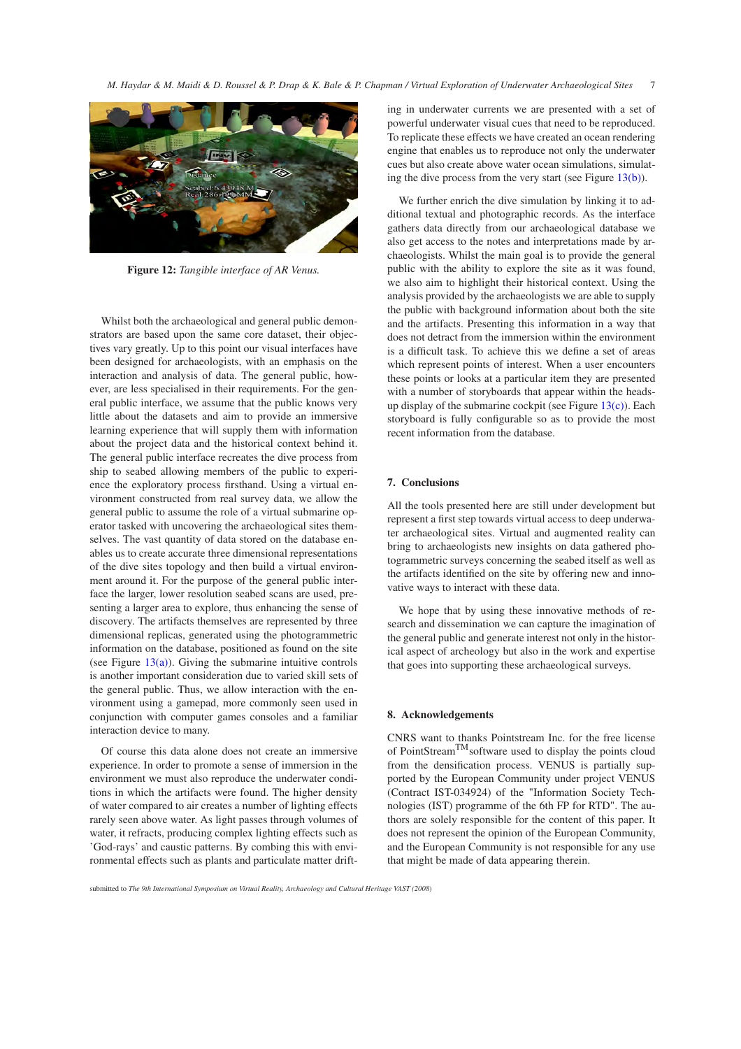![](_page_6_Picture_1.jpeg)

**Figure 12:** *Tangible interface of AR Venus.*

<span id="page-6-0"></span>Whilst both the archaeological and general public demonstrators are based upon the same core dataset, their objectives vary greatly. Up to this point our visual interfaces have been designed for archaeologists, with an emphasis on the interaction and analysis of data. The general public, however, are less specialised in their requirements. For the general public interface, we assume that the public knows very little about the datasets and aim to provide an immersive learning experience that will supply them with information about the project data and the historical context behind it. The general public interface recreates the dive process from ship to seabed allowing members of the public to experience the exploratory process firsthand. Using a virtual environment constructed from real survey data, we allow the general public to assume the role of a virtual submarine operator tasked with uncovering the archaeological sites themselves. The vast quantity of data stored on the database enables us to create accurate three dimensional representations of the dive sites topology and then build a virtual environment around it. For the purpose of the general public interface the larger, lower resolution seabed scans are used, presenting a larger area to explore, thus enhancing the sense of discovery. The artifacts themselves are represented by three dimensional replicas, generated using the photogrammetric information on the database, positioned as found on the site (see Figure  $13(a)$ ). Giving the submarine intuitive controls is another important consideration due to varied skill sets of the general public. Thus, we allow interaction with the environment using a gamepad, more commonly seen used in conjunction with computer games consoles and a familiar interaction device to many.

Of course this data alone does not create an immersive experience. In order to promote a sense of immersion in the environment we must also reproduce the underwater conditions in which the artifacts were found. The higher density of water compared to air creates a number of lighting effects rarely seen above water. As light passes through volumes of water, it refracts, producing complex lighting effects such as 'God-rays' and caustic patterns. By combing this with environmental effects such as plants and particulate matter drifting in underwater currents we are presented with a set of powerful underwater visual cues that need to be reproduced. To replicate these effects we have created an ocean rendering engine that enables us to reproduce not only the underwater cues but also create above water ocean simulations, simulating the dive process from the very start (see Figure [13\(b\)\)](#page-7-18).

We further enrich the dive simulation by linking it to additional textual and photographic records. As the interface gathers data directly from our archaeological database we also get access to the notes and interpretations made by archaeologists. Whilst the main goal is to provide the general public with the ability to explore the site as it was found, we also aim to highlight their historical context. Using the analysis provided by the archaeologists we are able to supply the public with background information about both the site and the artifacts. Presenting this information in a way that does not detract from the immersion within the environment is a difficult task. To achieve this we define a set of areas which represent points of interest. When a user encounters these points or looks at a particular item they are presented with a number of storyboards that appear within the headsup display of the submarine cockpit (see Figure  $13(c)$ ). Each storyboard is fully configurable so as to provide the most recent information from the database.

# **7. Conclusions**

All the tools presented here are still under development but represent a first step towards virtual access to deep underwater archaeological sites. Virtual and augmented reality can bring to archaeologists new insights on data gathered photogrammetric surveys concerning the seabed itself as well as the artifacts identified on the site by offering new and innovative ways to interact with these data.

We hope that by using these innovative methods of research and dissemination we can capture the imagination of the general public and generate interest not only in the historical aspect of archeology but also in the work and expertise that goes into supporting these archaeological surveys.

# **8. Acknowledgements**

CNRS want to thanks Pointstream Inc. for the free license of PointStream<sup>TM</sup>software used to display the points cloud from the densification process. VENUS is partially supported by the European Community under project VENUS (Contract IST-034924) of the "Information Society Technologies (IST) programme of the 6th FP for RTD". The authors are solely responsible for the content of this paper. It does not represent the opinion of the European Community, and the European Community is not responsible for any use that might be made of data appearing therein.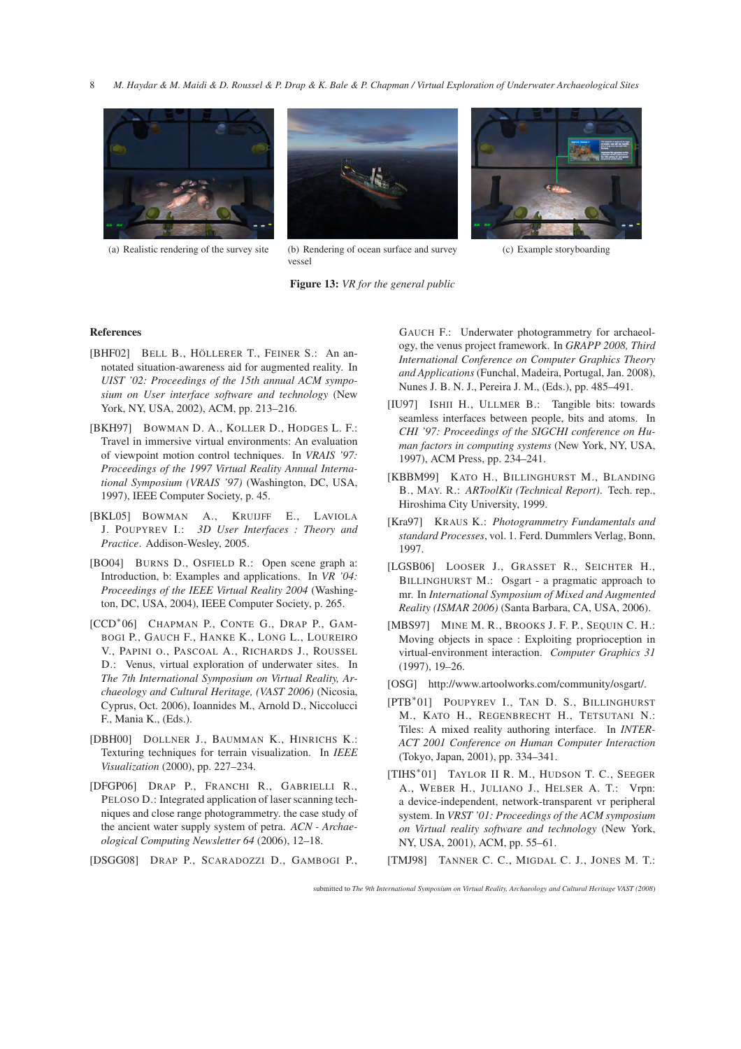![](_page_7_Picture_1.jpeg)

![](_page_7_Picture_3.jpeg)

(a) Realistic rendering of the survey site (b) Rendering of ocean surface and survey vessel

<span id="page-7-18"></span>![](_page_7_Picture_5.jpeg)

![](_page_7_Picture_6.jpeg)

(c) Example storyboarding

#### <span id="page-7-17"></span>**References**

- <span id="page-7-11"></span>[BHF02] BELL B., HÖLLERER T., FEINER S.: An annotated situation-awareness aid for augmented reality. In *UIST '02: Proceedings of the 15th annual ACM symposium on User interface software and technology* (New York, NY, USA, 2002), ACM, pp. 213–216.
- <span id="page-7-9"></span>[BKH97] BOWMAN D. A., KOLLER D., HODGES L. F.: Travel in immersive virtual environments: An evaluation of viewpoint motion control techniques. In *VRAIS '97: Proceedings of the 1997 Virtual Reality Annual International Symposium (VRAIS '97)* (Washington, DC, USA, 1997), IEEE Computer Society, p. 45.
- <span id="page-7-8"></span>[BKL05] BOWMAN A., KRUIJFF E., LAVIOLA J. POUPYREV I.: *3D User Interfaces : Theory and Practice*. Addison-Wesley, 2005.
- <span id="page-7-6"></span>[BO04] BURNS D., OSFIELD R.: Open scene graph a: Introduction, b: Examples and applications. In *VR '04: Proceedings of the IEEE Virtual Reality 2004* (Washington, DC, USA, 2004), IEEE Computer Society, p. 265.
- <span id="page-7-0"></span>[CCD<sup>∗</sup> 06] CHAPMAN P., CONTE G., DRAP P., GAM-BOGI P., GAUCH F., HANKE K., LONG L., LOUREIRO V., PAPINI O., PASCOAL A., RICHARDS J., ROUSSEL D.: Venus, virtual exploration of underwater sites. In *The 7th International Symposium on Virtual Reality, Archaeology and Cultural Heritage, (VAST 2006)* (Nicosia, Cyprus, Oct. 2006), Ioannides M., Arnold D., Niccolucci F., Mania K., (Eds.).
- <span id="page-7-5"></span>[DBH00] DOLLNER J., BAUMMAN K., HINRICHS K.: Texturing techniques for terrain visualization. In *IEEE Visualization* (2000), pp. 227–234.
- <span id="page-7-1"></span>[DFGP06] DRAP P., FRANCHI R., GABRIELLI R., PELOSO D.: Integrated application of laser scanning techniques and close range photogrammetry. the case study of the ancient water supply system of petra. *ACN - Archaeological Computing Newsletter 64* (2006), 12–18.

<span id="page-7-3"></span>[DSGG08] DRAP P., SCARADOZZI D., GAMBOGI P.,

<span id="page-7-19"></span>GAUCH F.: Underwater photogrammetry for archaeology, the venus project framework. In *GRAPP 2008, Third International Conference on Computer Graphics Theory and Applications* (Funchal, Madeira, Portugal, Jan. 2008), Nunes J. B. N. J., Pereira J. M., (Eds.), pp. 485–491.

- <span id="page-7-12"></span>[IU97] ISHII H., ULLMER B.: Tangible bits: towards seamless interfaces between people, bits and atoms. In *CHI '97: Proceedings of the SIGCHI conference on Human factors in computing systems* (New York, NY, USA, 1997), ACM Press, pp. 234–241.
- <span id="page-7-16"></span>[KBBM99] KATO H., BILLINGHURST M., BLANDING B., MAY. R.: *ARToolKit (Technical Report)*. Tech. rep., Hiroshima City University, 1999.
- <span id="page-7-2"></span>[Kra97] KRAUS K.: *Photogrammetry Fundamentals and standard Processes*, vol. 1. Ferd. Dummlers Verlag, Bonn, 1997.
- <span id="page-7-15"></span>[LGSB06] LOOSER J., GRASSET R., SEICHTER H., BILLINGHURST M.: Osgart - a pragmatic approach to mr. In *International Symposium of Mixed and Augmented Reality (ISMAR 2006)* (Santa Barbara, CA, USA, 2006).
- <span id="page-7-10"></span>[MBS97] MINE M. R., BROOKS J. F. P., SEQUIN C. H.: Moving objects in space : Exploiting proprioception in virtual-environment interaction. *Computer Graphics 31* (1997), 19–26.
- <span id="page-7-14"></span>[OSG] http://www.artoolworks.com/community/osgart/.
- <span id="page-7-13"></span>[PTB<sup>\*</sup>01] POUPYREV I., TAN D. S., BILLINGHURST M., KATO H., REGENBRECHT H., TETSUTANI N.: Tiles: A mixed reality authoring interface. In *INTER-ACT 2001 Conference on Human Computer Interaction* (Tokyo, Japan, 2001), pp. 334–341.
- <span id="page-7-7"></span>[TIHS<sup>∗</sup> 01] TAYLOR II R. M., HUDSON T. C., SEEGER A., WEBER H., JULIANO J., HELSER A. T.: Vrpn: a device-independent, network-transparent vr peripheral system. In *VRST '01: Proceedings of the ACM symposium on Virtual reality software and technology* (New York, NY, USA, 2001), ACM, pp. 55–61.
- <span id="page-7-4"></span>[TMJ98] TANNER C. C., MIGDAL C. J., JONES M. T.:

submitted to *The 9th International Symposium on Virtual Reality, Archaeology and Cultural Heritage VAST (2008*)